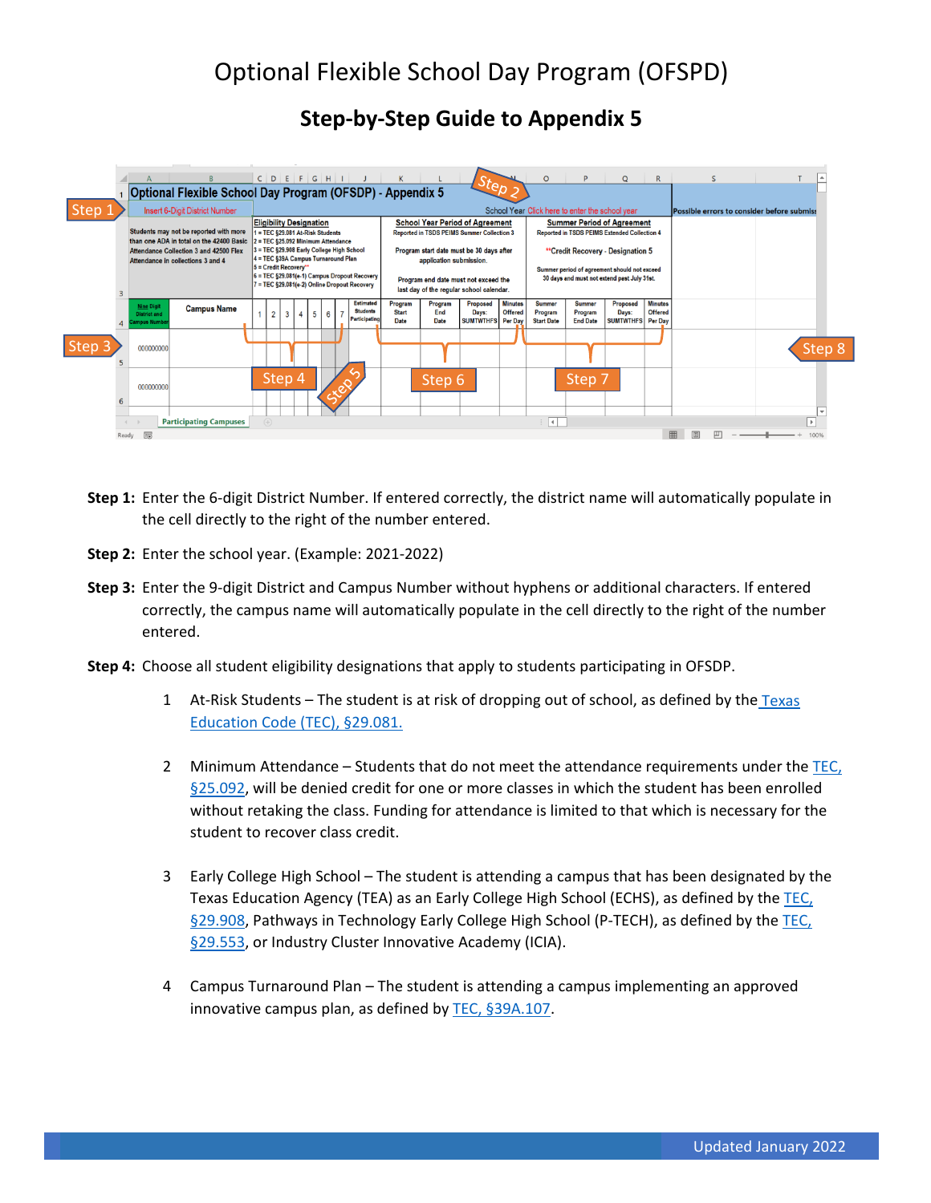## **Step-by-Step Guide to Appendix 5**

|             |       |                                                                                    |                                                           |                                                                                                             |                                                                                                          |            |                |                               | $C   D   E   F   G   H   I   J$               |                                                                                      |                        | Step                                  |                                                 | $\circ$                                                                           | D                                           | Q                                     | $\mathbb{R}$                               |   | <sub>S</sub> |  |                      |
|-------------|-------|------------------------------------------------------------------------------------|-----------------------------------------------------------|-------------------------------------------------------------------------------------------------------------|----------------------------------------------------------------------------------------------------------|------------|----------------|-------------------------------|-----------------------------------------------|--------------------------------------------------------------------------------------|------------------------|---------------------------------------|-------------------------------------------------|-----------------------------------------------------------------------------------|---------------------------------------------|---------------------------------------|--------------------------------------------|---|--------------|--|----------------------|
| <b>Step</b> |       | Insert 6-Digit District Number                                                     | Optional Flexible School Day Program (OFSDP) - Appendix 5 |                                                                                                             |                                                                                                          |            |                |                               |                                               |                                                                                      |                        |                                       | School Year Click here to enter the school year |                                                                                   |                                             |                                       | Possible errors to consider before submiss |   |              |  |                      |
|             |       | Students may not be reported with more<br>than one ADA in total on the 42400 Basic |                                                           |                                                                                                             | <b>Eligibility Designation</b><br>1 = TEC §29.081 At-Risk Students<br>2 = TEC §25.092 Minimum Attendance |            |                |                               |                                               | <b>School Year Period of Agreement</b><br>Reported in TSDS PEIMS Summer Collection 3 |                        |                                       |                                                 | <b>Summer Period of Agreement</b><br>Reported in TSDS PEIMS Extended Collection 4 |                                             |                                       |                                            |   |              |  |                      |
|             |       | Attendance Collection 3 and 42500 Flex<br>Attendance in collections 3 and 4        |                                                           | 3 = TEC §29.908 Early College High School<br>4 = TEC §39A Campus Turnaround Plan<br>$5 =$ Credit Recovery** |                                                                                                          |            |                |                               |                                               | Program start date must be 30 days after<br>application submission.                  |                        |                                       |                                                 | **Credit Recovery - Designation 5<br>Summer period of agreement should not exceed |                                             |                                       |                                            |   |              |  |                      |
|             |       |                                                                                    |                                                           |                                                                                                             | $6 = TEC$ §29.081(e-1) Campus Dropout Recovery<br>7 = TEC §29.081(e-2) Online Dropout Recovery           |            |                |                               |                                               | Program end date must not exceed the<br>last day of the regular school calendar.     |                        |                                       |                                                 | 30 days and must not extend past July 31st.                                       |                                             |                                       |                                            |   |              |  |                      |
| Step 3      |       | <b>Nine Digit</b><br><b>District and</b><br>ampus Numbe                            | <b>Campus Name</b>                                        |                                                                                                             | $\overline{2}$                                                                                           | $3 \mid 4$ | 5 <sup>5</sup> | $\overline{7}$<br>$6^{\circ}$ | Estimated<br><b>Students</b><br>Participating | Program<br><b>Start</b><br>Date                                                      | Program<br>End<br>Date | Proposed<br>Days:<br><b>SUMTWTHFS</b> | <b>Minutes</b><br>Offered<br>Per Day            | <b>Summer</b><br>Program<br><b>Start Date</b>                                     | <b>Summer</b><br>Program<br><b>End Date</b> | Proposed<br>Days:<br><b>SUMTWTHFS</b> | <b>Minutes</b><br>Offered<br>Per Day       |   |              |  |                      |
|             |       | 000000000                                                                          |                                                           |                                                                                                             |                                                                                                          |            |                |                               |                                               |                                                                                      |                        |                                       |                                                 |                                                                                   |                                             |                                       |                                            |   |              |  | Step 8               |
|             |       | 000000000                                                                          |                                                           |                                                                                                             | Step 4                                                                                                   |            |                |                               |                                               |                                                                                      | Step 6                 |                                       |                                                 |                                                                                   | Step 7                                      |                                       |                                            |   |              |  |                      |
|             | Ready | <b>Participating Campuses</b><br>$\overline{10}$                                   |                                                           | $(+)$                                                                                                       |                                                                                                          |            |                |                               |                                               |                                                                                      |                        |                                       |                                                 | $\frac{1}{2}$ $\left  \frac{1}{2} \right $                                        |                                             |                                       |                                            | 囲 |              |  | $\mathbf{h}$<br>1009 |

- **Step 1:** Enter the 6-digit District Number. If entered correctly, the district name will automatically populate in the cell directly to the right of the number entered.
- **Step 2:** Enter the school year. (Example: 2021-2022)
- **Step 3:** Enter the 9-digit District and Campus Number without hyphens or additional characters. If entered correctly, the campus name will automatically populate in the cell directly to the right of the number entered.
- **Step 4:** Choose all student eligibility designations that apply to students participating in OFSDP.
	- 1 At-Risk Students The student is at risk of dropping out of school, as defined by the [Texas](https://statutes.capitol.texas.gov/Docs/ED/htm/ED.29.htm#29.081)  [Education Code \(TEC\), §29.081.](https://statutes.capitol.texas.gov/Docs/ED/htm/ED.29.htm#29.081)
	- 2 Minimum Attendance Students that do not meet the attendance requirements under th[e TEC,](https://statutes.capitol.texas.gov/Docs/ED/htm/ED.25.htm#25.092)  [§25.092,](https://statutes.capitol.texas.gov/Docs/ED/htm/ED.25.htm#25.092) will be denied credit for one or more classes in which the student has been enrolled without retaking the class. Funding for attendance is limited to that which is necessary for the student to recover class credit.
	- 3 Early College High School The student is attending a campus that has been designated by the Texas Education Agency (TEA) as an Early College High School (ECHS), as defined by the [TEC,](https://statutes.capitol.texas.gov/Docs/ED/htm/ED.29.htm#29.908)  [§29.908,](https://statutes.capitol.texas.gov/Docs/ED/htm/ED.29.htm#29.908) Pathways in Technology Early College High School (P-TECH), as defined by the [TEC,](https://statutes.capitol.texas.gov/SOTWDocs/ED/htm/ED.29.htm#29.553)  [§29.553,](https://statutes.capitol.texas.gov/SOTWDocs/ED/htm/ED.29.htm#29.553) or Industry Cluster Innovative Academy (ICIA).
	- 4 Campus Turnaround Plan The student is attending a campus implementing an approved innovative campus plan, as defined by TEC, [§39A.107.](https://statutes.capitol.texas.gov/Docs/ED/htm/ED.39A.htm#39A.107)